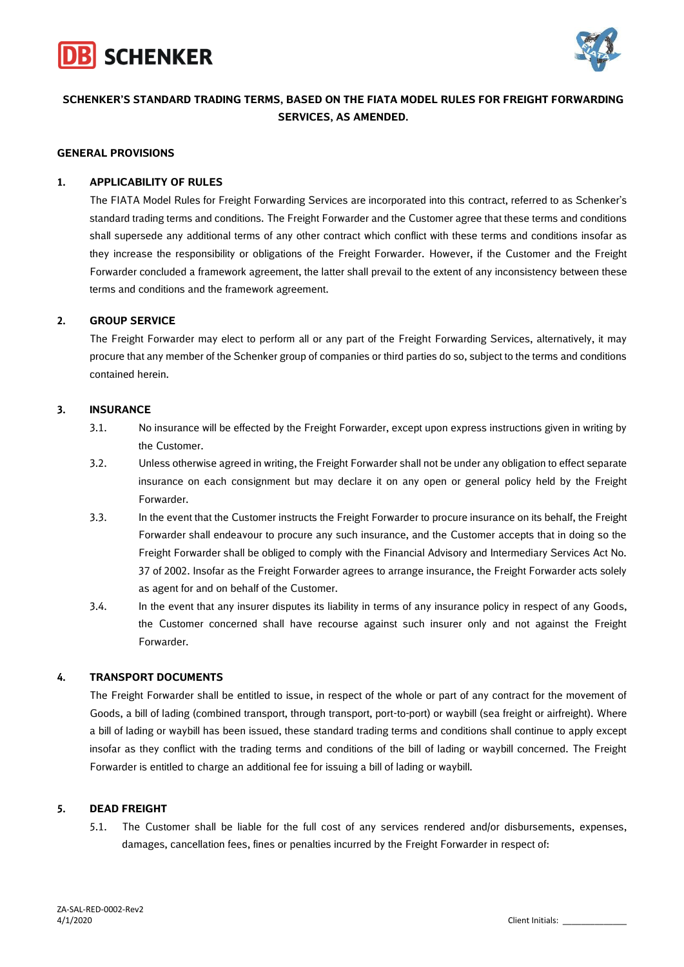



## **SCHENKER'S STANDARD TRADING TERMS, BASED ON THE FIATA MODEL RULES FOR FREIGHT FORWARDING SERVICES, AS AMENDED.**

#### **GENERAL PROVISIONS**

## **1. APPLICABILITY OF RULES**

The FIATA Model Rules for Freight Forwarding Services are incorporated into this contract, referred to as Schenker's standard trading terms and conditions. The Freight Forwarder and the Customer agree that these terms and conditions shall supersede any additional terms of any other contract which conflict with these terms and conditions insofar as they increase the responsibility or obligations of the Freight Forwarder. However, if the Customer and the Freight Forwarder concluded a framework agreement, the latter shall prevail to the extent of any inconsistency between these terms and conditions and the framework agreement.

## **2. GROUP SERVICE**

The Freight Forwarder may elect to perform all or any part of the Freight Forwarding Services, alternatively, it may procure that any member of the Schenker group of companies or third parties do so, subject to the terms and conditions contained herein.

## **3. INSURANCE**

- 3.1. No insurance will be effected by the Freight Forwarder, except upon express instructions given in writing by the Customer.
- 3.2. Unless otherwise agreed in writing, the Freight Forwarder shall not be under any obligation to effect separate insurance on each consignment but may declare it on any open or general policy held by the Freight Forwarder.
- 3.3. In the event that the Customer instructs the Freight Forwarder to procure insurance on its behalf, the Freight Forwarder shall endeavour to procure any such insurance, and the Customer accepts that in doing so the Freight Forwarder shall be obliged to comply with the Financial Advisory and Intermediary Services Act No. 37 of 2002. Insofar as the Freight Forwarder agrees to arrange insurance, the Freight Forwarder acts solely as agent for and on behalf of the Customer.
- 3.4. In the event that any insurer disputes its liability in terms of any insurance policy in respect of any Goods, the Customer concerned shall have recourse against such insurer only and not against the Freight Forwarder.

## **4. TRANSPORT DOCUMENTS**

The Freight Forwarder shall be entitled to issue, in respect of the whole or part of any contract for the movement of Goods, a bill of lading (combined transport, through transport, port-to-port) or waybill (sea freight or airfreight). Where a bill of lading or waybill has been issued, these standard trading terms and conditions shall continue to apply except insofar as they conflict with the trading terms and conditions of the bill of lading or waybill concerned. The Freight Forwarder is entitled to charge an additional fee for issuing a bill of lading or waybill.

## **5. DEAD FREIGHT**

5.1. The Customer shall be liable for the full cost of any services rendered and/or disbursements, expenses, damages, cancellation fees, fines or penalties incurred by the Freight Forwarder in respect of: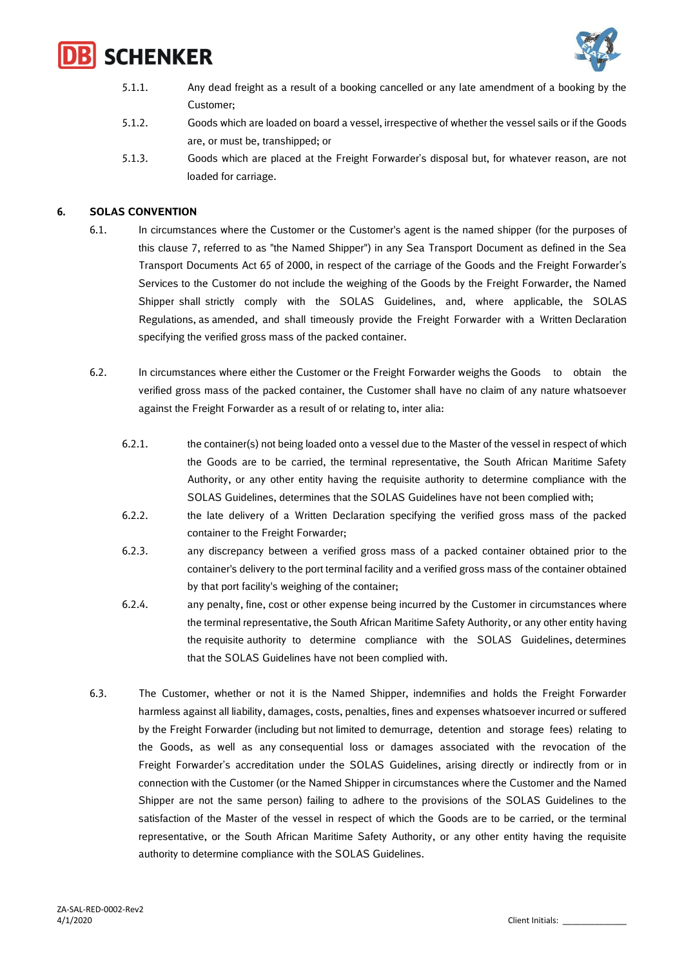



- 5.1.1. Any dead freight as a result of a booking cancelled or any late amendment of a booking by the Customer;
- 5.1.2. Goods which are loaded on board a vessel, irrespective of whether the vessel sails or if the Goods are, or must be, transhipped; or
- 5.1.3. Goods which are placed at the Freight Forwarder's disposal but, for whatever reason, are not loaded for carriage.

## **6. SOLAS CONVENTION**

- 6.1. In circumstances where the Customer or the Customer's agent is the named shipper (for the purposes of this clause 7, referred to as "the Named Shipper") in any Sea Transport Document as defined in the Sea Transport Documents Act 65 of 2000, in respect of the carriage of the Goods and the Freight Forwarder's Services to the Customer do not include the weighing of the Goods by the Freight Forwarder, the Named Shipper shall strictly comply with the SOLAS Guidelines, and, where applicable, the SOLAS Regulations, as amended, and shall timeously provide the Freight Forwarder with a Written Declaration specifying the verified gross mass of the packed container.
- 6.2. In circumstances where either the Customer or the Freight Forwarder weighs the Goods to obtain the verified gross mass of the packed container, the Customer shall have no claim of any nature whatsoever against the Freight Forwarder as a result of or relating to, inter alia:
	- 6.2.1. the container(s) not being loaded onto a vessel due to the Master of the vessel in respect of which the Goods are to be carried, the terminal representative, the South African Maritime Safety Authority, or any other entity having the requisite authority to determine compliance with the SOLAS Guidelines, determines that the SOLAS Guidelines have not been complied with;
	- 6.2.2. the late delivery of a Written Declaration specifying the verified gross mass of the packed container to the Freight Forwarder;
	- 6.2.3. any discrepancy between a verified gross mass of a packed container obtained prior to the container's delivery to the port terminal facility and a verified gross mass of the container obtained by that port facility's weighing of the container;
	- 6.2.4. any penalty, fine, cost or other expense being incurred by the Customer in circumstances where the terminal representative, the South African Maritime Safety Authority, or any other entity having the requisite authority to determine compliance with the SOLAS Guidelines, determines that the SOLAS Guidelines have not been complied with.
- 6.3. The Customer, whether or not it is the Named Shipper, indemnifies and holds the Freight Forwarder harmless against all liability, damages, costs, penalties, fines and expenses whatsoever incurred or suffered by the Freight Forwarder (including but not limited to demurrage, detention and storage fees) relating to the Goods, as well as any consequential loss or damages associated with the revocation of the Freight Forwarder's accreditation under the SOLAS Guidelines, arising directly or indirectly from or in connection with the Customer (or the Named Shipper in circumstances where the Customer and the Named Shipper are not the same person) failing to adhere to the provisions of the SOLAS Guidelines to the satisfaction of the Master of the vessel in respect of which the Goods are to be carried, or the terminal representative, or the South African Maritime Safety Authority, or any other entity having the requisite authority to determine compliance with the SOLAS Guidelines.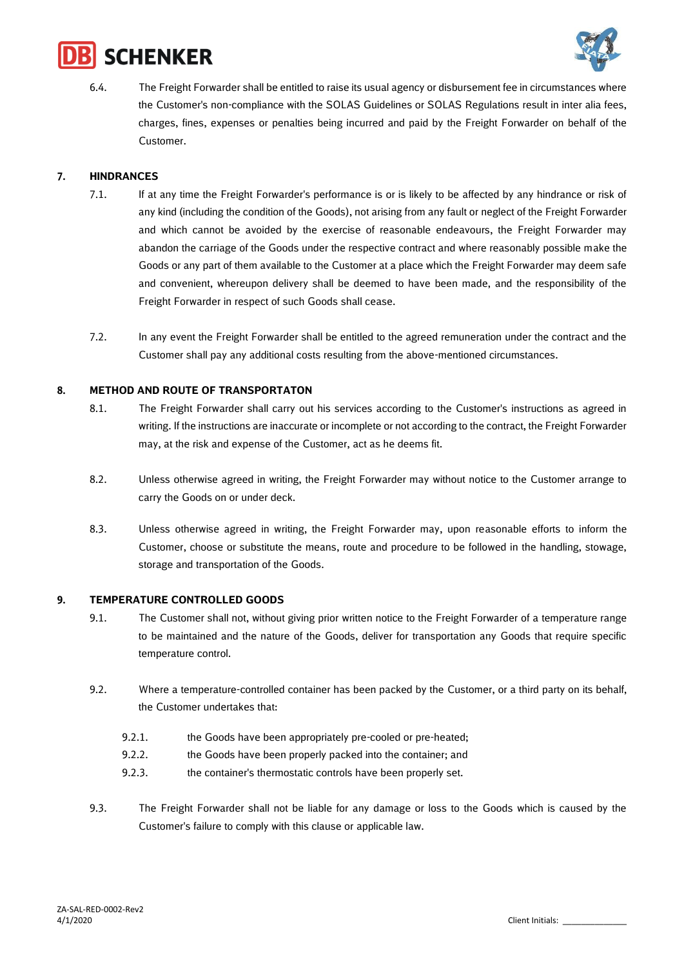



6.4. The Freight Forwarder shall be entitled to raise its usual agency or disbursement fee in circumstances where the Customer's non-compliance with the SOLAS Guidelines or SOLAS Regulations result in inter alia fees, charges, fines, expenses or penalties being incurred and paid by the Freight Forwarder on behalf of the Customer.

## **7. HINDRANCES**

- 7.1. If at any time the Freight Forwarder's performance is or is likely to be affected by any hindrance or risk of any kind (including the condition of the Goods), not arising from any fault or neglect of the Freight Forwarder and which cannot be avoided by the exercise of reasonable endeavours, the Freight Forwarder may abandon the carriage of the Goods under the respective contract and where reasonably possible make the Goods or any part of them available to the Customer at a place which the Freight Forwarder may deem safe and convenient, whereupon delivery shall be deemed to have been made, and the responsibility of the Freight Forwarder in respect of such Goods shall cease.
- 7.2. In any event the Freight Forwarder shall be entitled to the agreed remuneration under the contract and the Customer shall pay any additional costs resulting from the above-mentioned circumstances.

## **8. METHOD AND ROUTE OF TRANSPORTATON**

- 8.1. The Freight Forwarder shall carry out his services according to the Customer's instructions as agreed in writing. If the instructions are inaccurate or incomplete or not according to the contract, the Freight Forwarder may, at the risk and expense of the Customer, act as he deems fit.
- 8.2. Unless otherwise agreed in writing, the Freight Forwarder may without notice to the Customer arrange to carry the Goods on or under deck.
- 8.3. Unless otherwise agreed in writing, the Freight Forwarder may, upon reasonable efforts to inform the Customer, choose or substitute the means, route and procedure to be followed in the handling, stowage, storage and transportation of the Goods.

## **9. TEMPERATURE CONTROLLED GOODS**

- 9.1. The Customer shall not, without giving prior written notice to the Freight Forwarder of a temperature range to be maintained and the nature of the Goods, deliver for transportation any Goods that require specific temperature control.
- 9.2. Where a temperature-controlled container has been packed by the Customer, or a third party on its behalf, the Customer undertakes that:
	- 9.2.1. the Goods have been appropriately pre-cooled or pre-heated;
	- 9.2.2. the Goods have been properly packed into the container; and
	- 9.2.3. the container's thermostatic controls have been properly set.
- 9.3. The Freight Forwarder shall not be liable for any damage or loss to the Goods which is caused by the Customer's failure to comply with this clause or applicable law.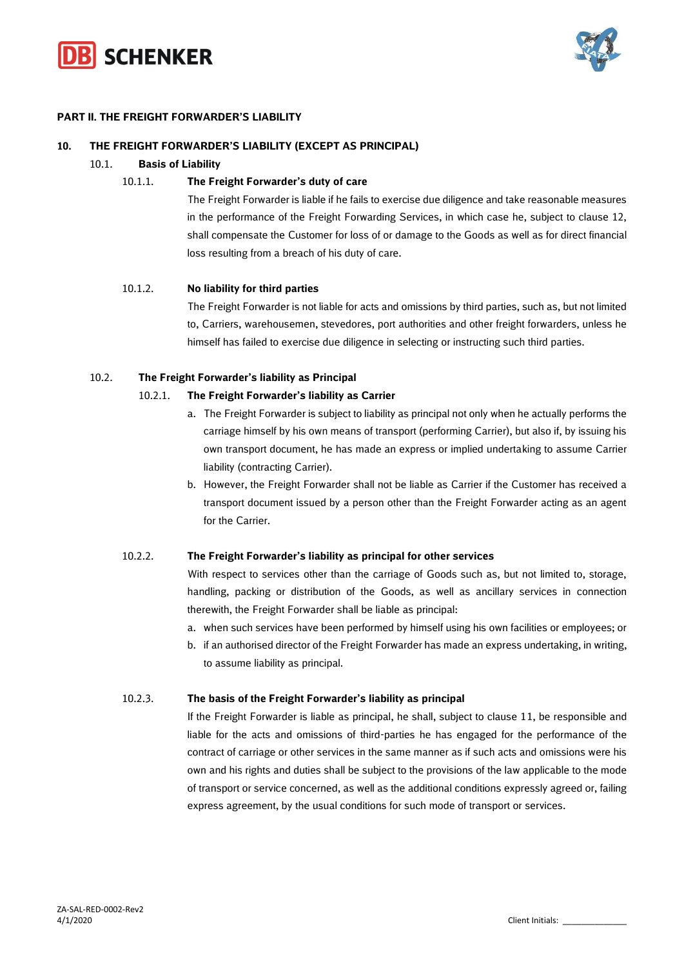



## **PART II. THE FREIGHT FORWARDER'S LIABILITY**

#### **10. THE FREIGHT FORWARDER'S LIABILITY (EXCEPT AS PRINCIPAL)**

## 10.1. **Basis of Liability**

## 10.1.1. **The Freight Forwarder's duty of care**

The Freight Forwarder is liable if he fails to exercise due diligence and take reasonable measures in the performance of the Freight Forwarding Services, in which case he, subject to clause 12, shall compensate the Customer for loss of or damage to the Goods as well as for direct financial loss resulting from a breach of his duty of care.

## 10.1.2. **No liability for third parties**

The Freight Forwarder is not liable for acts and omissions by third parties, such as, but not limited to, Carriers, warehousemen, stevedores, port authorities and other freight forwarders, unless he himself has failed to exercise due diligence in selecting or instructing such third parties.

## 10.2. **The Freight Forwarder's liability as Principal**

#### 10.2.1. **The Freight Forwarder's liability as Carrier**

- a. The Freight Forwarder is subject to liability as principal not only when he actually performs the carriage himself by his own means of transport (performing Carrier), but also if, by issuing his own transport document, he has made an express or implied undertaking to assume Carrier liability (contracting Carrier).
- b. However, the Freight Forwarder shall not be liable as Carrier if the Customer has received a transport document issued by a person other than the Freight Forwarder acting as an agent for the Carrier.

## 10.2.2. **The Freight Forwarder's liability as principal for other services**

With respect to services other than the carriage of Goods such as, but not limited to, storage, handling, packing or distribution of the Goods, as well as ancillary services in connection therewith, the Freight Forwarder shall be liable as principal:

- a. when such services have been performed by himself using his own facilities or employees; or
- b. if an authorised director of the Freight Forwarder has made an express undertaking, in writing, to assume liability as principal.

#### 10.2.3. **The basis of the Freight Forwarder's liability as principal**

If the Freight Forwarder is liable as principal, he shall, subject to clause 11, be responsible and liable for the acts and omissions of third-parties he has engaged for the performance of the contract of carriage or other services in the same manner as if such acts and omissions were his own and his rights and duties shall be subject to the provisions of the law applicable to the mode of transport or service concerned, as well as the additional conditions expressly agreed or, failing express agreement, by the usual conditions for such mode of transport or services.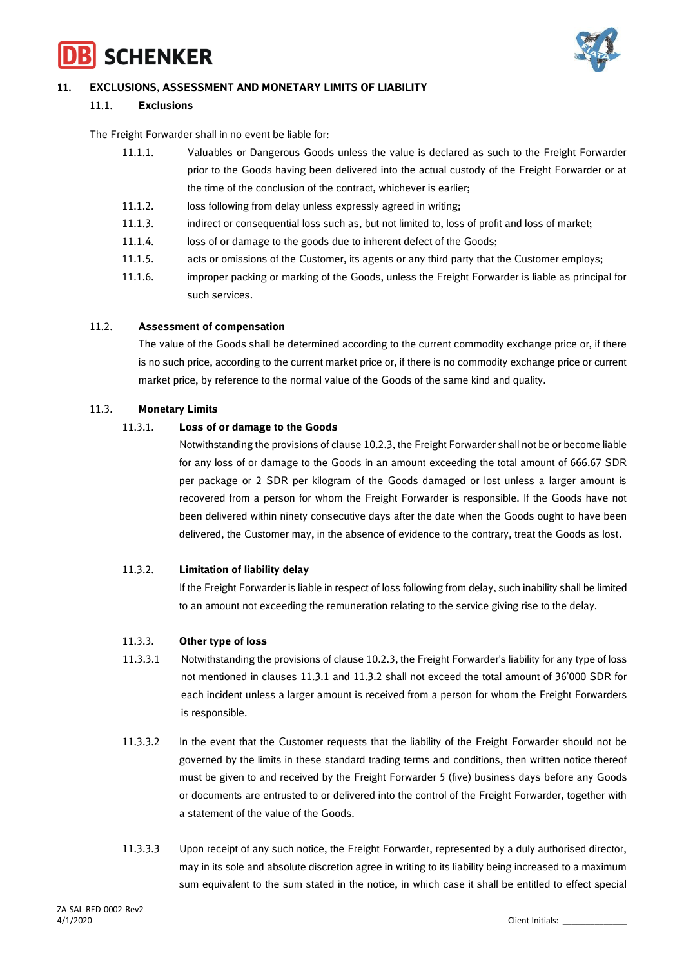



## **11. EXCLUSIONS, ASSESSMENT AND MONETARY LIMITS OF LIABILITY**

#### 11.1. **Exclusions**

The Freight Forwarder shall in no event be liable for:

| 11.1.1. | Valuables or Dangerous Goods unless the value is declared as such to the Freight Forwarder      |
|---------|-------------------------------------------------------------------------------------------------|
|         | prior to the Goods having been delivered into the actual custody of the Freight Forwarder or at |
|         | the time of the conclusion of the contract, whichever is earlier;                               |

- 11.1.2. loss following from delay unless expressly agreed in writing;
- 11.1.3. indirect or consequential loss such as, but not limited to, loss of profit and loss of market;
- 11.1.4. loss of or damage to the goods due to inherent defect of the Goods;
- 11.1.5. acts or omissions of the Customer, its agents or any third party that the Customer employs;
- 11.1.6. improper packing or marking of the Goods, unless the Freight Forwarder is liable as principal for such services.

#### 11.2. **Assessment of compensation**

The value of the Goods shall be determined according to the current commodity exchange price or, if there is no such price, according to the current market price or, if there is no commodity exchange price or current market price, by reference to the normal value of the Goods of the same kind and quality.

## 11.3. **Monetary Limits**

#### 11.3.1. **Loss of or damage to the Goods**

Notwithstanding the provisions of clause 10.2.3, the Freight Forwarder shall not be or become liable for any loss of or damage to the Goods in an amount exceeding the total amount of 666.67 SDR per package or 2 SDR per kilogram of the Goods damaged or lost unless a larger amount is recovered from a person for whom the Freight Forwarder is responsible. If the Goods have not been delivered within ninety consecutive days after the date when the Goods ought to have been delivered, the Customer may, in the absence of evidence to the contrary, treat the Goods as lost.

## 11.3.2. **Limitation of liability delay**

If the Freight Forwarder is liable in respect of loss following from delay, such inability shall be limited to an amount not exceeding the remuneration relating to the service giving rise to the delay.

#### 11.3.3. **Other type of loss**

- 11.3.3.1 Notwithstanding the provisions of clause 10.2.3, the Freight Forwarder's liability for any type of loss not mentioned in clauses 11.3.1 and 11.3.2 shall not exceed the total amount of 36'000 SDR for each incident unless a larger amount is received from a person for whom the Freight Forwarders is responsible.
- 11.3.3.2 In the event that the Customer requests that the liability of the Freight Forwarder should not be governed by the limits in these standard trading terms and conditions, then written notice thereof must be given to and received by the Freight Forwarder 5 (five) business days before any Goods or documents are entrusted to or delivered into the control of the Freight Forwarder, together with a statement of the value of the Goods.
- 11.3.3.3 Upon receipt of any such notice, the Freight Forwarder, represented by a duly authorised director, may in its sole and absolute discretion agree in writing to its liability being increased to a maximum sum equivalent to the sum stated in the notice, in which case it shall be entitled to effect special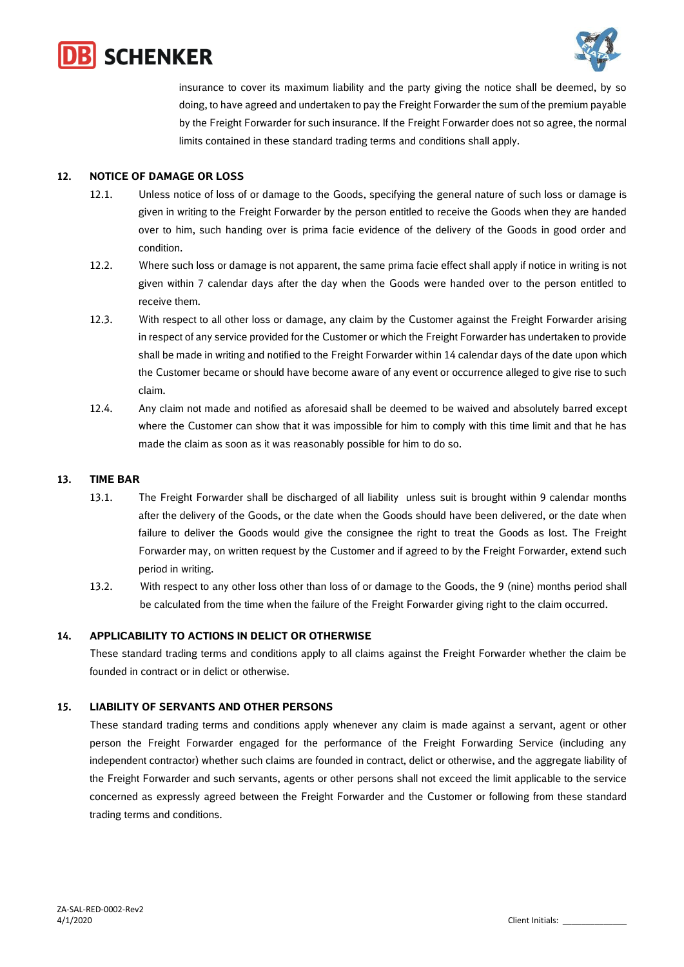



insurance to cover its maximum liability and the party giving the notice shall be deemed, by so doing, to have agreed and undertaken to pay the Freight Forwarder the sum of the premium payable by the Freight Forwarder for such insurance. If the Freight Forwarder does not so agree, the normal limits contained in these standard trading terms and conditions shall apply.

## **12. NOTICE OF DAMAGE OR LOSS**

- 12.1. Unless notice of loss of or damage to the Goods, specifying the general nature of such loss or damage is given in writing to the Freight Forwarder by the person entitled to receive the Goods when they are handed over to him, such handing over is prima facie evidence of the delivery of the Goods in good order and condition.
- 12.2. Where such loss or damage is not apparent, the same prima facie effect shall apply if notice in writing is not given within 7 calendar days after the day when the Goods were handed over to the person entitled to receive them.
- 12.3. With respect to all other loss or damage, any claim by the Customer against the Freight Forwarder arising in respect of any service provided for the Customer or which the Freight Forwarder has undertaken to provide shall be made in writing and notified to the Freight Forwarder within 14 calendar days of the date upon which the Customer became or should have become aware of any event or occurrence alleged to give rise to such claim.
- 12.4. Any claim not made and notified as aforesaid shall be deemed to be waived and absolutely barred except where the Customer can show that it was impossible for him to comply with this time limit and that he has made the claim as soon as it was reasonably possible for him to do so.

## **13. TIME BAR**

- 13.1. The Freight Forwarder shall be discharged of all liability unless suit is brought within 9 calendar months after the delivery of the Goods, or the date when the Goods should have been delivered, or the date when failure to deliver the Goods would give the consignee the right to treat the Goods as lost. The Freight Forwarder may, on written request by the Customer and if agreed to by the Freight Forwarder, extend such period in writing.
- 13.2. With respect to any other loss other than loss of or damage to the Goods, the 9 (nine) months period shall be calculated from the time when the failure of the Freight Forwarder giving right to the claim occurred.

## **14. APPLICABILITY TO ACTIONS IN DELICT OR OTHERWISE**

These standard trading terms and conditions apply to all claims against the Freight Forwarder whether the claim be founded in contract or in delict or otherwise.

## **15. LIABILITY OF SERVANTS AND OTHER PERSONS**

These standard trading terms and conditions apply whenever any claim is made against a servant, agent or other person the Freight Forwarder engaged for the performance of the Freight Forwarding Service (including any independent contractor) whether such claims are founded in contract, delict or otherwise, and the aggregate liability of the Freight Forwarder and such servants, agents or other persons shall not exceed the limit applicable to the service concerned as expressly agreed between the Freight Forwarder and the Customer or following from these standard trading terms and conditions.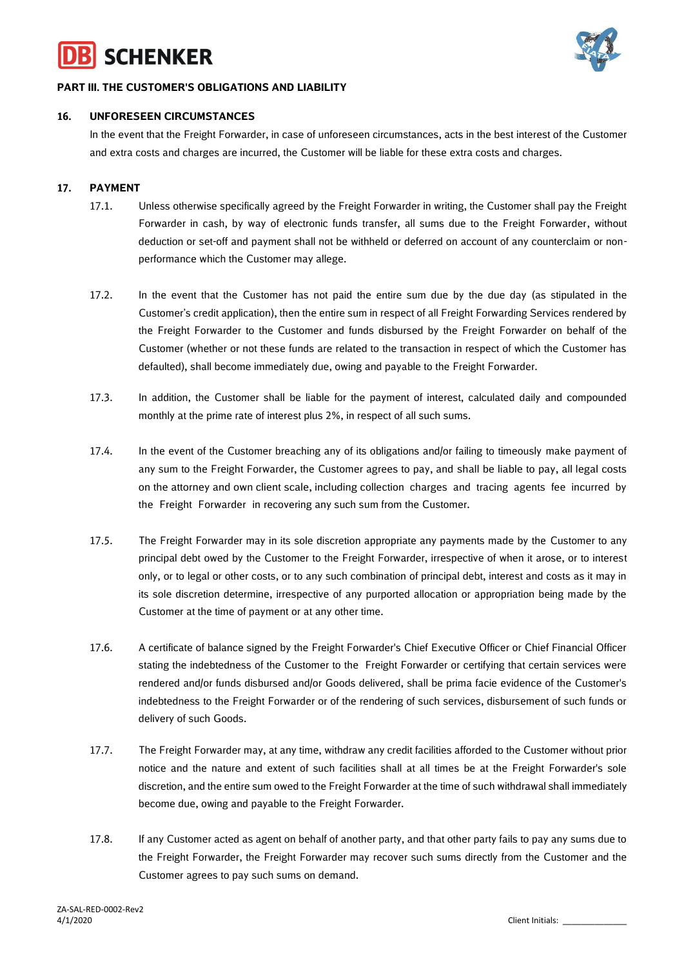



## **PART III. THE CUSTOMER'S OBLIGATIONS AND LIABILITY**

## **16. UNFORESEEN CIRCUMSTANCES**

In the event that the Freight Forwarder, in case of unforeseen circumstances, acts in the best interest of the Customer and extra costs and charges are incurred, the Customer will be liable for these extra costs and charges.

## **17. PAYMENT**

- 17.1. Unless otherwise specifically agreed by the Freight Forwarder in writing, the Customer shall pay the Freight Forwarder in cash, by way of electronic funds transfer, all sums due to the Freight Forwarder, without deduction or set-off and payment shall not be withheld or deferred on account of any counterclaim or nonperformance which the Customer may allege.
- 17.2. In the event that the Customer has not paid the entire sum due by the due day (as stipulated in the Customer's credit application), then the entire sum in respect of all Freight Forwarding Services rendered by the Freight Forwarder to the Customer and funds disbursed by the Freight Forwarder on behalf of the Customer (whether or not these funds are related to the transaction in respect of which the Customer has defaulted), shall become immediately due, owing and payable to the Freight Forwarder.
- 17.3. In addition, the Customer shall be liable for the payment of interest, calculated daily and compounded monthly at the prime rate of interest plus 2%, in respect of all such sums.
- 17.4. In the event of the Customer breaching any of its obligations and/or failing to timeously make payment of any sum to the Freight Forwarder, the Customer agrees to pay, and shall be liable to pay, all legal costs on the attorney and own client scale, including collection charges and tracing agents fee incurred by the Freight Forwarder in recovering any such sum from the Customer.
- 17.5. The Freight Forwarder may in its sole discretion appropriate any payments made by the Customer to any principal debt owed by the Customer to the Freight Forwarder, irrespective of when it arose, or to interest only, or to legal or other costs, or to any such combination of principal debt, interest and costs as it may in its sole discretion determine, irrespective of any purported allocation or appropriation being made by the Customer at the time of payment or at any other time.
- 17.6. A certificate of balance signed by the Freight Forwarder's Chief Executive Officer or Chief Financial Officer stating the indebtedness of the Customer to the Freight Forwarder or certifying that certain services were rendered and/or funds disbursed and/or Goods delivered, shall be prima facie evidence of the Customer's indebtedness to the Freight Forwarder or of the rendering of such services, disbursement of such funds or delivery of such Goods.
- 17.7. The Freight Forwarder may, at any time, withdraw any credit facilities afforded to the Customer without prior notice and the nature and extent of such facilities shall at all times be at the Freight Forwarder's sole discretion, and the entire sum owed to the Freight Forwarder at the time of such withdrawal shall immediately become due, owing and payable to the Freight Forwarder.
- 17.8. If any Customer acted as agent on behalf of another party, and that other party fails to pay any sums due to the Freight Forwarder, the Freight Forwarder may recover such sums directly from the Customer and the Customer agrees to pay such sums on demand.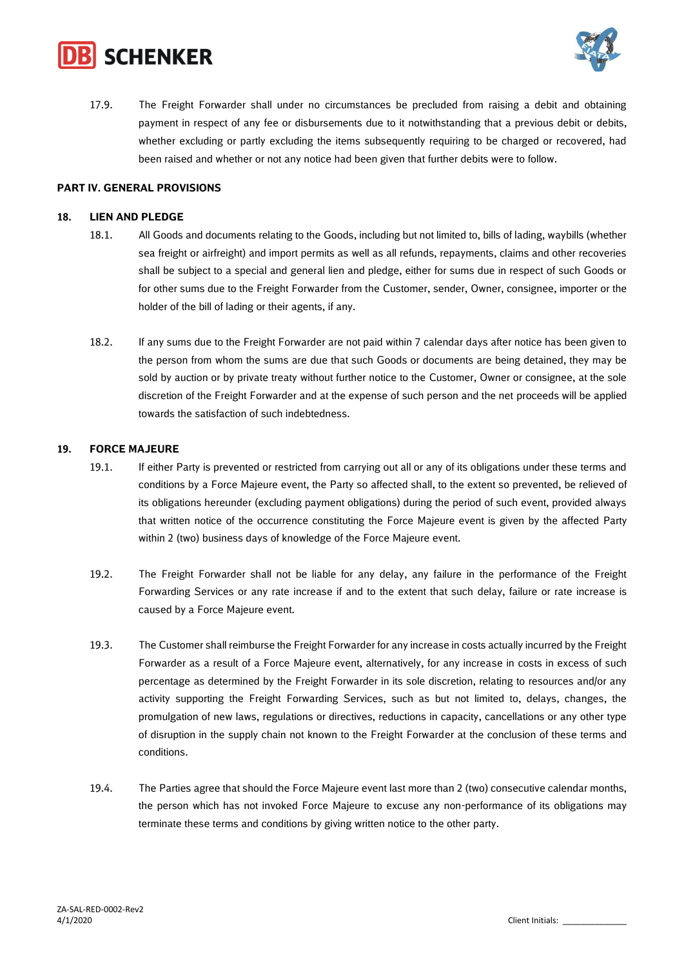



17.9. The Freight Forwarder shall under no circumstances be precluded from raising a debit and obtaining payment in respect of any fee or disbursements due to it notwithstanding that a previous debit or debits, whether excluding or partly excluding the items subsequently requiring to be charged or recovered, had been raised and whether or not any notice had been given that further debits were to follow.

## **PART IV. GENERAL PROVISIONS**

#### **18. LIEN AND PLEDGE**

- 18.1. All Goods and documents relating to the Goods, including but not limited to, bills of lading, waybills (whether sea freight or airfreight) and import permits as well as all refunds, repayments, claims and other recoveries shall be subject to a special and general lien and pledge, either for sums due in respect of such Goods or for other sums due to the Freight Forwarder from the Customer, sender, Owner, consignee, importer or the holder of the bill of lading or their agents, if any.
- 18.2. If any sums due to the Freight Forwarder are not paid within 7 calendar days after notice has been given to the person from whom the sums are due that such Goods or documents are being detained, they may be sold by auction or by private treaty without further notice to the Customer, Owner or consignee, at the sole discretion of the Freight Forwarder and at the expense of such person and the net proceeds will be applied towards the satisfaction of such indebtedness.

#### **19. FORCE MAJEURE**

- 19.1. If either Party is prevented or restricted from carrying out all or any of its obligations under these terms and conditions by a Force Majeure event, the Party so affected shall, to the extent so prevented, be relieved of its obligations hereunder (excluding payment obligations) during the period of such event, provided always that written notice of the occurrence constituting the Force Majeure event is given by the affected Party within 2 (two) business days of knowledge of the Force Majeure event.
- 19.2. The Freight Forwarder shall not be liable for any delay, any failure in the performance of the Freight Forwarding Services or any rate increase if and to the extent that such delay, failure or rate increase is caused by a Force Majeure event.
- 19.3. The Customer shall reimburse the Freight Forwarder for any increase in costs actually incurred by the Freight Forwarder as a result of a Force Majeure event, alternatively, for any increase in costs in excess of such percentage as determined by the Freight Forwarder in its sole discretion, relating to resources and/or any activity supporting the Freight Forwarding Services, such as but not limited to, delays, changes, the promulgation of new laws, regulations or directives, reductions in capacity, cancellations or any other type of disruption in the supply chain not known to the Freight Forwarder at the conclusion of these terms and conditions.
- 19.4. The Parties agree that should the Force Majeure event last more than 2 (two) consecutive calendar months, the person which has not invoked Force Majeure to excuse any non-performance of its obligations may terminate these terms and conditions by giving written notice to the other party.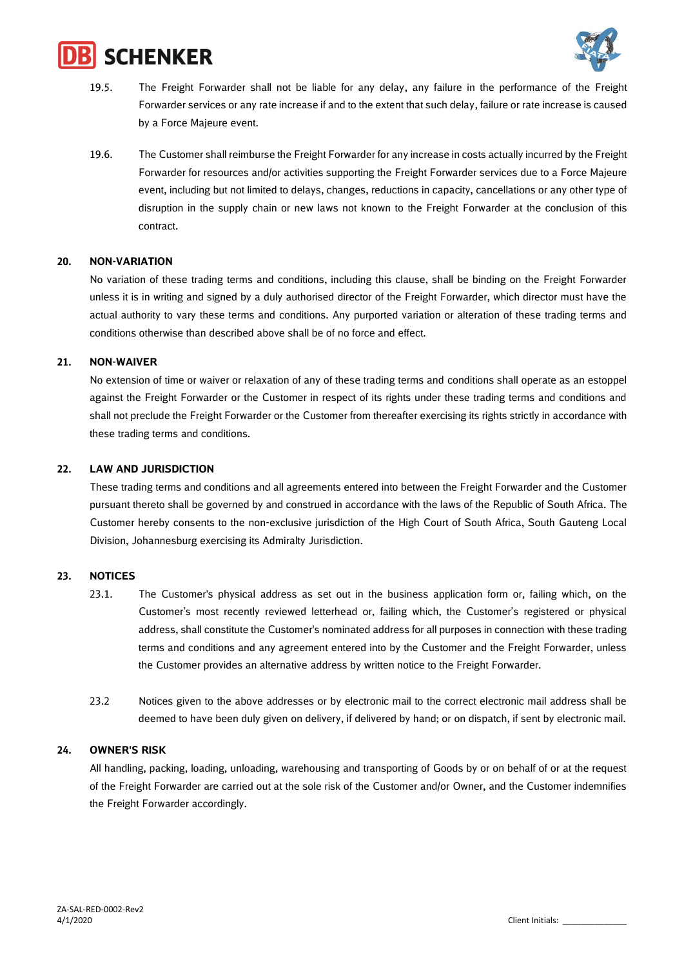



- 19.5. The Freight Forwarder shall not be liable for any delay, any failure in the performance of the Freight Forwarder services or any rate increase if and to the extent that such delay, failure or rate increase is caused by a Force Majeure event.
- 19.6. The Customer shall reimburse the Freight Forwarder for any increase in costs actually incurred by the Freight Forwarder for resources and/or activities supporting the Freight Forwarder services due to a Force Majeure event, including but not limited to delays, changes, reductions in capacity, cancellations or any other type of disruption in the supply chain or new laws not known to the Freight Forwarder at the conclusion of this contract.

## **20. NON-VARIATION**

No variation of these trading terms and conditions, including this clause, shall be binding on the Freight Forwarder unless it is in writing and signed by a duly authorised director of the Freight Forwarder, which director must have the actual authority to vary these terms and conditions. Any purported variation or alteration of these trading terms and conditions otherwise than described above shall be of no force and effect.

#### **21. NON-WAIVER**

No extension of time or waiver or relaxation of any of these trading terms and conditions shall operate as an estoppel against the Freight Forwarder or the Customer in respect of its rights under these trading terms and conditions and shall not preclude the Freight Forwarder or the Customer from thereafter exercising its rights strictly in accordance with these trading terms and conditions.

#### **22. LAW AND JURISDICTION**

These trading terms and conditions and all agreements entered into between the Freight Forwarder and the Customer pursuant thereto shall be governed by and construed in accordance with the laws of the Republic of South Africa. The Customer hereby consents to the non-exclusive jurisdiction of the High Court of South Africa, South Gauteng Local Division, Johannesburg exercising its Admiralty Jurisdiction.

## **23. NOTICES**

- 23.1. The Customer's physical address as set out in the business application form or, failing which, on the Customer's most recently reviewed letterhead or, failing which, the Customer's registered or physical address, shall constitute the Customer's nominated address for all purposes in connection with these trading terms and conditions and any agreement entered into by the Customer and the Freight Forwarder, unless the Customer provides an alternative address by written notice to the Freight Forwarder.
- 23.2 Notices given to the above addresses or by electronic mail to the correct electronic mail address shall be deemed to have been duly given on delivery, if delivered by hand; or on dispatch, if sent by electronic mail.

#### **24. OWNER'S RISK**

All handling, packing, loading, unloading, warehousing and transporting of Goods by or on behalf of or at the request of the Freight Forwarder are carried out at the sole risk of the Customer and/or Owner, and the Customer indemnifies the Freight Forwarder accordingly.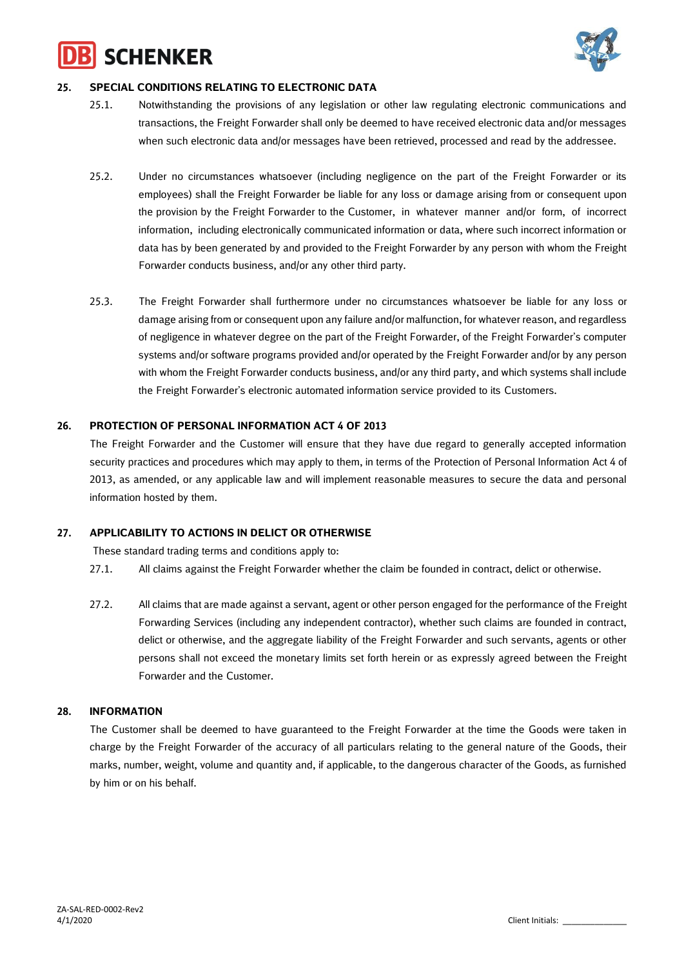# **SCHENKER**



## **25. SPECIAL CONDITIONS RELATING TO ELECTRONIC DATA**

- 25.1. Notwithstanding the provisions of any legislation or other law regulating electronic communications and transactions, the Freight Forwarder shall only be deemed to have received electronic data and/or messages when such electronic data and/or messages have been retrieved, processed and read by the addressee.
- 25.2. Under no circumstances whatsoever (including negligence on the part of the Freight Forwarder or its employees) shall the Freight Forwarder be liable for any loss or damage arising from or consequent upon the provision by the Freight Forwarder to the Customer, in whatever manner and/or form, of incorrect information, including electronically communicated information or data, where such incorrect information or data has by been generated by and provided to the Freight Forwarder by any person with whom the Freight Forwarder conducts business, and/or any other third party.
- 25.3. The Freight Forwarder shall furthermore under no circumstances whatsoever be liable for any loss or damage arising from or consequent upon any failure and/or malfunction, for whatever reason, and regardless of negligence in whatever degree on the part of the Freight Forwarder, of the Freight Forwarder's computer systems and/or software programs provided and/or operated by the Freight Forwarder and/or by any person with whom the Freight Forwarder conducts business, and/or any third party, and which systems shall include the Freight Forwarder's electronic automated information service provided to its Customers.

## **26. PROTECTION OF PERSONAL INFORMATION ACT 4 OF 2013**

The Freight Forwarder and the Customer will ensure that they have due regard to generally accepted information security practices and procedures which may apply to them, in terms of the Protection of Personal Information Act 4 of 2013, as amended, or any applicable law and will implement reasonable measures to secure the data and personal information hosted by them.

## **27. APPLICABILITY TO ACTIONS IN DELICT OR OTHERWISE**

These standard trading terms and conditions apply to:

- 27.1. All claims against the Freight Forwarder whether the claim be founded in contract, delict or otherwise.
- 27.2. All claims that are made against a servant, agent or other person engaged for the performance of the Freight Forwarding Services (including any independent contractor), whether such claims are founded in contract, delict or otherwise, and the aggregate liability of the Freight Forwarder and such servants, agents or other persons shall not exceed the monetary limits set forth herein or as expressly agreed between the Freight Forwarder and the Customer.

## **28. INFORMATION**

The Customer shall be deemed to have guaranteed to the Freight Forwarder at the time the Goods were taken in charge by the Freight Forwarder of the accuracy of all particulars relating to the general nature of the Goods, their marks, number, weight, volume and quantity and, if applicable, to the dangerous character of the Goods, as furnished by him or on his behalf.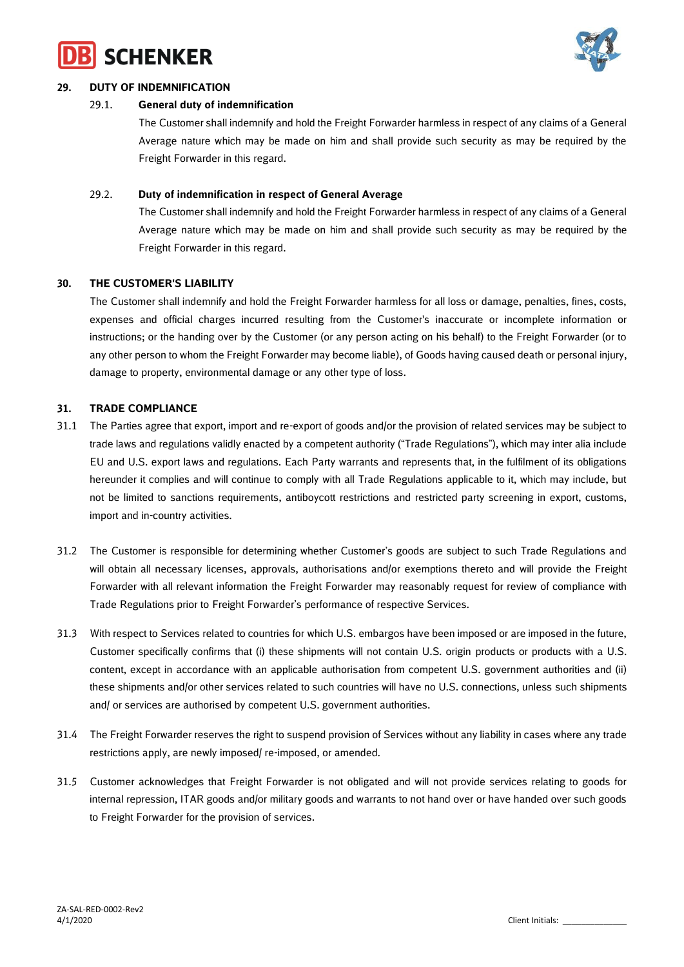



## **29. DUTY OF INDEMNIFICATION**

## 29.1. **General duty of indemnification**

The Customer shall indemnify and hold the Freight Forwarder harmless in respect of any claims of a General Average nature which may be made on him and shall provide such security as may be required by the Freight Forwarder in this regard.

## 29.2. **Duty of indemnification in respect of General Average**

The Customer shall indemnify and hold the Freight Forwarder harmless in respect of any claims of a General Average nature which may be made on him and shall provide such security as may be required by the Freight Forwarder in this regard.

## **30. THE CUSTOMER'S LIABILITY**

The Customer shall indemnify and hold the Freight Forwarder harmless for all loss or damage, penalties, fines, costs, expenses and official charges incurred resulting from the Customer's inaccurate or incomplete information or instructions; or the handing over by the Customer (or any person acting on his behalf) to the Freight Forwarder (or to any other person to whom the Freight Forwarder may become liable), of Goods having caused death or personal injury, damage to property, environmental damage or any other type of loss.

## **31. TRADE COMPLIANCE**

- 31.1 The Parties agree that export, import and re-export of goods and/or the provision of related services may be subject to trade laws and regulations validly enacted by a competent authority ("Trade Regulations"), which may inter alia include EU and U.S. export laws and regulations. Each Party warrants and represents that, in the fulfilment of its obligations hereunder it complies and will continue to comply with all Trade Regulations applicable to it, which may include, but not be limited to sanctions requirements, antiboycott restrictions and restricted party screening in export, customs, import and in-country activities.
- 31.2 The Customer is responsible for determining whether Customer's goods are subject to such Trade Regulations and will obtain all necessary licenses, approvals, authorisations and/or exemptions thereto and will provide the Freight Forwarder with all relevant information the Freight Forwarder may reasonably request for review of compliance with Trade Regulations prior to Freight Forwarder's performance of respective Services.
- 31.3 With respect to Services related to countries for which U.S. embargos have been imposed or are imposed in the future, Customer specifically confirms that (i) these shipments will not contain U.S. origin products or products with a U.S. content, except in accordance with an applicable authorisation from competent U.S. government authorities and (ii) these shipments and/or other services related to such countries will have no U.S. connections, unless such shipments and/ or services are authorised by competent U.S. government authorities.
- 31.4 The Freight Forwarder reserves the right to suspend provision of Services without any liability in cases where any trade restrictions apply, are newly imposed/ re-imposed, or amended.
- 31.5 Customer acknowledges that Freight Forwarder is not obligated and will not provide services relating to goods for internal repression, ITAR goods and/or military goods and warrants to not hand over or have handed over such goods to Freight Forwarder for the provision of services.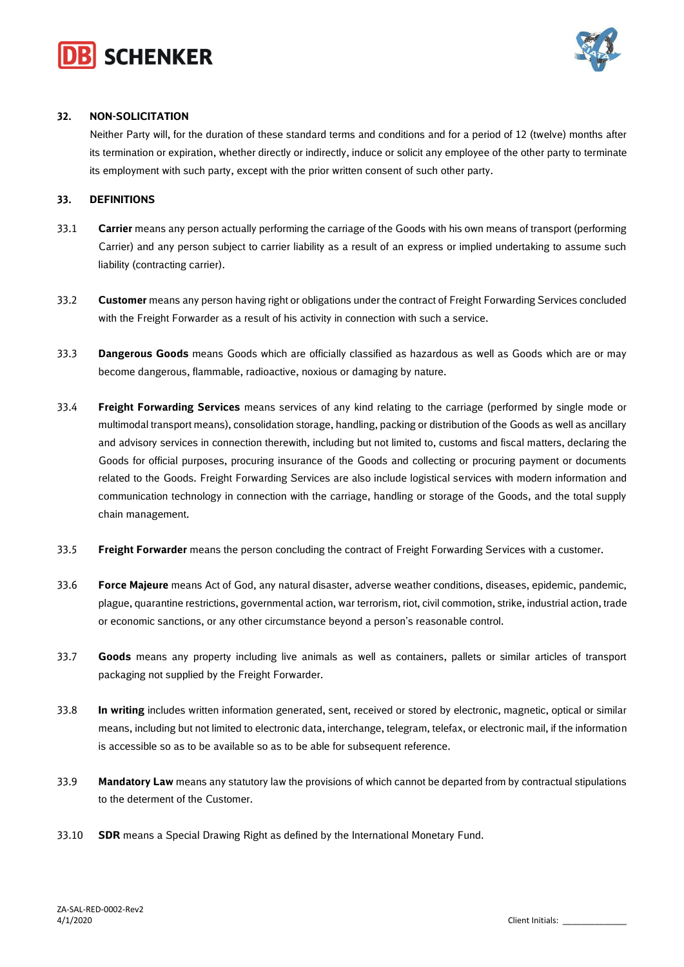



## **32. NON-SOLICITATION**

Neither Party will, for the duration of these standard terms and conditions and for a period of 12 (twelve) months after its termination or expiration, whether directly or indirectly, induce or solicit any employee of the other party to terminate its employment with such party, except with the prior written consent of such other party.

#### **33. DEFINITIONS**

- 33.1 **Carrier** means any person actually performing the carriage of the Goods with his own means of transport (performing Carrier) and any person subject to carrier liability as a result of an express or implied undertaking to assume such liability (contracting carrier).
- 33.2 **Customer** means any person having right or obligations under the contract of Freight Forwarding Services concluded with the Freight Forwarder as a result of his activity in connection with such a service.
- 33.3 **Dangerous Goods** means Goods which are officially classified as hazardous as well as Goods which are or may become dangerous, flammable, radioactive, noxious or damaging by nature.
- 33.4 **Freight Forwarding Services** means services of any kind relating to the carriage (performed by single mode or multimodal transport means), consolidation storage, handling, packing or distribution of the Goods as well as ancillary and advisory services in connection therewith, including but not limited to, customs and fiscal matters, declaring the Goods for official purposes, procuring insurance of the Goods and collecting or procuring payment or documents related to the Goods. Freight Forwarding Services are also include logistical services with modern information and communication technology in connection with the carriage, handling or storage of the Goods, and the total supply chain management.
- 33.5 **Freight Forwarder** means the person concluding the contract of Freight Forwarding Services with a customer.
- 33.6 **Force Majeure** means Act of God, any natural disaster, adverse weather conditions, diseases, epidemic, pandemic, plague, quarantine restrictions, governmental action, war terrorism, riot, civil commotion, strike, industrial action, trade or economic sanctions, or any other circumstance beyond a person's reasonable control.
- 33.7 **Goods** means any property including live animals as well as containers, pallets or similar articles of transport packaging not supplied by the Freight Forwarder.
- 33.8 **In writing** includes written information generated, sent, received or stored by electronic, magnetic, optical or similar means, including but not limited to electronic data, interchange, telegram, telefax, or electronic mail, if the information is accessible so as to be available so as to be able for subsequent reference.
- 33.9 **Mandatory Law** means any statutory law the provisions of which cannot be departed from by contractual stipulations to the determent of the Customer.
- 33.10 **SDR** means a Special Drawing Right as defined by the International Monetary Fund.